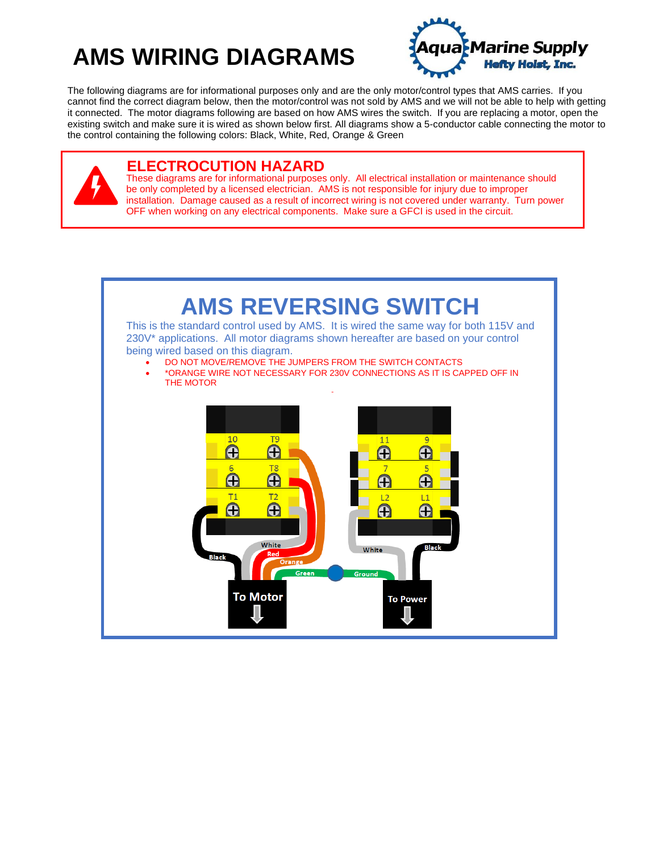# **AMS WIRING DIAGRAMS**



The following diagrams are for informational purposes only and are the only motor/control types that AMS carries. If you cannot find the correct diagram below, then the motor/control was not sold by AMS and we will not be able to help with getting it connected. The motor diagrams following are based on how AMS wires the switch. If you are replacing a motor, open the existing switch and make sure it is wired as shown below first. All diagrams show a 5-conductor cable connecting the motor to the control containing the following colors: Black, White, Red, Orange & Green

#### **ELECTROCUTION HAZARD**

These diagrams are for informational purposes only. All electrical installation or maintenance should be only completed by a licensed electrician. AMS is not responsible for injury due to improper installation. Damage caused as a result of incorrect wiring is not covered under warranty. Turn power OFF when working on any electrical components. Make sure a GFCI is used in the circuit.

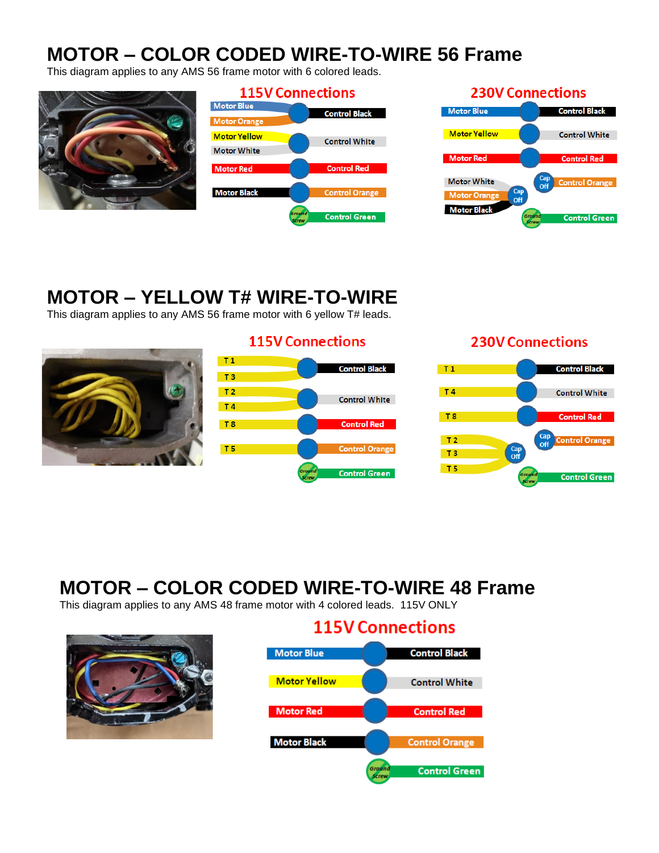## **MOTOR – COLOR CODED WIRE-TO-WIRE 56 Frame**

This diagram applies to any AMS 56 frame motor with 6 colored leads.





### **MOTOR – YELLOW T# WIRE-TO-WIRE**

This diagram applies to any AMS 56 frame motor with 6 yellow T# leads.



#### **115V Connections**



#### **230V Connections**



# **MOTOR – COLOR CODED WIRE-TO-WIRE 48 Frame**

This diagram applies to any AMS 48 frame motor with 4 colored leads. 115V ONLY